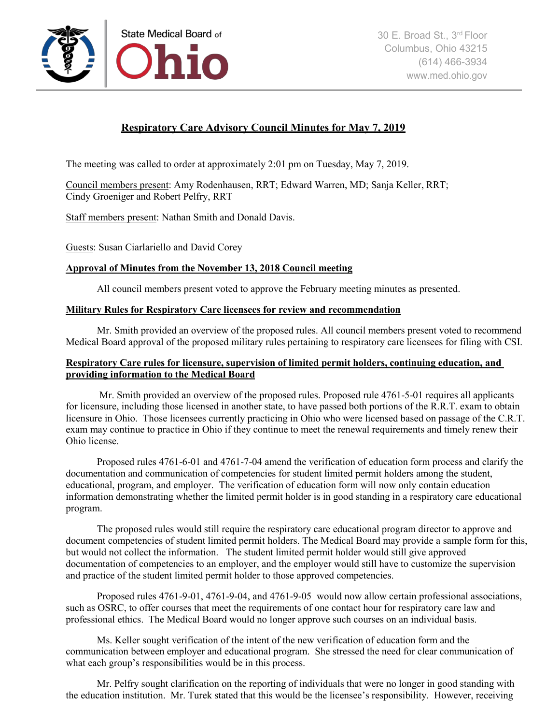

# **Respiratory Care Advisory Council Minutes for May 7, 2019**

The meeting was called to order at approximately 2:01 pm on Tuesday, May 7, 2019.

Council members present: Amy Rodenhausen, RRT; Edward Warren, MD; Sanja Keller, RRT; Cindy Groeniger and Robert Pelfry, RRT

Staff members present: Nathan Smith and Donald Davis.

Guests: Susan Ciarlariello and David Corey

# **Approval of Minutes from the November 13, 2018 Council meeting**

All council members present voted to approve the February meeting minutes as presented.

## **Military Rules for Respiratory Care licensees for review and recommendation**

Mr. Smith provided an overview of the proposed rules. All council members present voted to recommend Medical Board approval of the proposed military rules pertaining to respiratory care licensees for filing with CSI.

# **Respiratory Care rules for licensure, supervision of limited permit holders, continuing education, and providing information to the Medical Board**

Mr. Smith provided an overview of the proposed rules. Proposed rule 4761-5-01 requires all applicants for licensure, including those licensed in another state, to have passed both portions of the R.R.T. exam to obtain licensure in Ohio. Those licensees currently practicing in Ohio who were licensed based on passage of the C.R.T. exam may continue to practice in Ohio if they continue to meet the renewal requirements and timely renew their Ohio license.

Proposed rules 4761-6-01 and 4761-7-04 amend the verification of education form process and clarify the documentation and communication of competencies for student limited permit holders among the student, educational, program, and employer. The verification of education form will now only contain education information demonstrating whether the limited permit holder is in good standing in a respiratory care educational program.

The proposed rules would still require the respiratory care educational program director to approve and document competencies of student limited permit holders. The Medical Board may provide a sample form for this, but would not collect the information. The student limited permit holder would still give approved documentation of competencies to an employer, and the employer would still have to customize the supervision and practice of the student limited permit holder to those approved competencies.

Proposed rules 4761-9-01, 4761-9-04, and 4761-9-05 would now allow certain professional associations, such as OSRC, to offer courses that meet the requirements of one contact hour for respiratory care law and professional ethics. The Medical Board would no longer approve such courses on an individual basis.

Ms. Keller sought verification of the intent of the new verification of education form and the communication between employer and educational program. She stressed the need for clear communication of what each group's responsibilities would be in this process.

Mr. Pelfry sought clarification on the reporting of individuals that were no longer in good standing with the education institution. Mr. Turek stated that this would be the licensee's responsibility. However, receiving